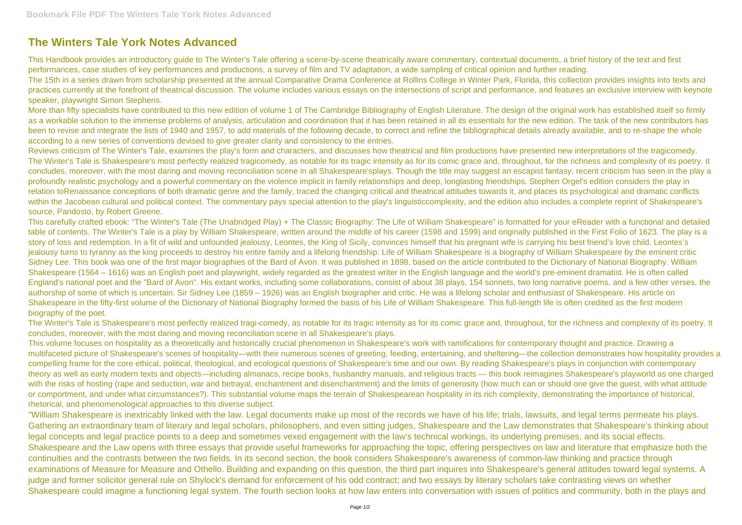## **The Winters Tale York Notes Advanced**

This Handbook provides an introductory guide to The Winter's Tale offering a scene-by-scene theatrically aware commentary, contextual documents, a brief history of the text and first performances, case studies of key performances and productions, a survey of film and TV adaptation, a wide sampling of critical opinion and further reading. The 15th in a series drawn from scholarship presented at the annual Comparative Drama Conference at Rollins College in Winter Park, Florida, this collection provides insights into texts and practices currently at the forefront of theatrical discussion. The volume includes various essays on the intersections of script and performance, and features an exclusive interview with keynote speaker, playwright Simon Stephens.

More than fifty specialists have contributed to this new edition of volume 1 of The Cambridge Bibliography of English Literature. The design of the original work has established itself so firmly as a workable solution to the immense problems of analysis, articulation and coordination that it has been retained in all its essentials for the new edition. The task of the new contributors has been to revise and integrate the lists of 1940 and 1957, to add materials of the following decade, to correct and refine the bibliographical details already available, and to re-shape the whole according to a new series of conventions devised to give greater clarity and consistency to the entries.

Reviews criticism of The Winter's Tale, examines the play's form and characters, and discusses how theatrical and film productions have presented new interpretations of the tragicomedy. The Winter's Tale is Shakespeare's most perfectly realized tragicomedy, as notable for its tragic intensity as for its comic grace and, throughout, for the richness and complexity of its poetry. It concludes, moreover, with the most daring and moving reconciliation scene in all Shakespeare'splays. Though the title may suggest an escapist fantasy, recent criticism has seen in the play a profoundly realistic psychology and a powerful commentary on the violence implicit in family relationships and deep, longlasting friendships. Stephen Orgel's edition considers the play in relation toRenaissance conceptions of both dramatic genre and the family, traced the changing critical and theatrical attitudes towards it, and places its psychological and dramatic conflicts within the Jacobean cultural and political context. The commentary pays special attention to the play's linguisticcomplexity, and the edition also includes a complete reprint of Shakespeare's source, Pandosto, by Robert Greene.

This carefully crafted ebook: "The Winter's Tale (The Unabridged Play) + The Classic Biography: The Life of William Shakespeare" is formatted for your eReader with a functional and detailed table of contents. The Winter's Tale is a play by William Shakespeare, written around the middle of his career (1598 and 1599) and originally published in the First Folio of 1623. The play is a story of loss and redemption. In a fit of wild and unfounded jealousy, Leontes, the King of Sicily, convinces himself that his pregnant wife is carrying his best friend's love child. Leontes's jealousy turns to tyranny as the king proceeds to destroy his entire family and a lifelong friendship. Life of William Shakespeare is a biography of William Shakespeare by the eminent critic Sidney Lee. This book was one of the first major biographies of the Bard of Avon. It was published in 1898, based on the article contributed to the Dictionary of National Biography. William Shakespeare (1564 – 1616) was an English poet and playwright, widely regarded as the greatest writer in the English language and the world's pre-eminent dramatist. He is often called England's national poet and the "Bard of Avon". His extant works, including some collaborations, consist of about 38 plays, 154 sonnets, two long narrative poems, and a few other verses, the authorship of some of which is uncertain. Sir Sidney Lee (1859 – 1926) was an English biographer and critic. He was a lifelong scholar and enthusiast of Shakespeare. His article on Shakespeare in the fifty-first volume of the Dictionary of National Biography formed the basis of his Life of William Shakespeare. This full-length life is often credited as the first modern biography of the poet.

The Winter's Tale is Shakespeare's most perfectly realized tragi-comedy, as notable for its tragic intensity as for its comic grace and, throughout, for the richness and complexity of its poetry. It concludes, moreover, with the most daring and moving reconciliation scene in all Shakespeare's plays.

This volume focuses on hospitality as a theoretically and historically crucial phenomenon in Shakespeare's work with ramifications for contemporary thought and practice. Drawing a multifaceted picture of Shakespeare's scenes of hospitality—with their numerous scenes of greeting, feeding, entertaining, and sheltering—the collection demonstrates how hospitality provides a compelling frame for the core ethical, political, theological, and ecological questions of Shakespeare's time and our own. By reading Shakespeare's plays in conjunction with contemporary theory as well as early modern texts and objects—including almanacs, recipe books, husbandry manuals, and religious tracts — this book reimagines Shakespeare's playworld as one charged with the risks of hosting (rape and seduction, war and betrayal, enchantment and disenchantment) and the limits of generosity (how much can or should one give the quest, with what attitude or comportment, and under what circumstances?). This substantial volume maps the terrain of Shakespearean hospitality in its rich complexity, demonstrating the importance of historical, rhetorical, and phenomenological approaches to this diverse subject.

"William Shakespeare is inextricably linked with the law. Legal documents make up most of the records we have of his life; trials, lawsuits, and legal terms permeate his plays. Gathering an extraordinary team of literary and legal scholars, philosophers, and even sitting judges, Shakespeare and the Law demonstrates that Shakespeare's thinking about legal concepts and legal practice points to a deep and sometimes vexed engagement with the law's technical workings, its underlying premises, and its social effects. Shakespeare and the Law opens with three essays that provide useful frameworks for approaching the topic, offering perspectives on law and literature that emphasize both the continuities and the contrasts between the two fields. In its second section, the book considers Shakespeare's awareness of common-law thinking and practice through examinations of Measure for Measure and Othello. Building and expanding on this question, the third part inquires into Shakespeare's general attitudes toward legal systems. A judge and former solicitor general rule on Shylock's demand for enforcement of his odd contract; and two essays by literary scholars take contrasting views on whether Shakespeare could imagine a functioning legal system. The fourth section looks at how law enters into conversation with issues of politics and community, both in the plays and